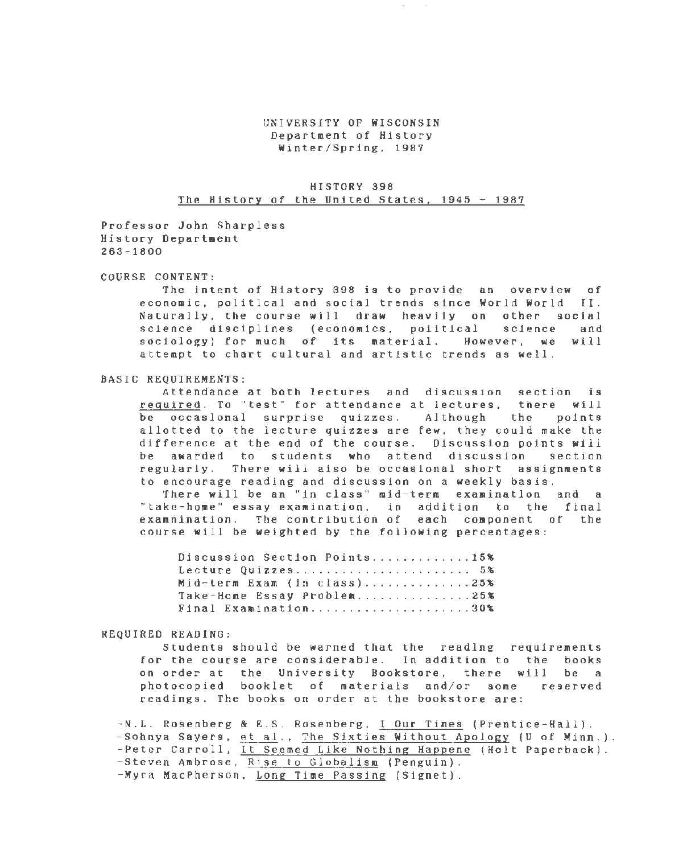## UNIVERSITY OF WISCONSIN Department of History Winter/Spring, 1987

# HISTORY 398 The History of the United States, 1945 - 1987

Professor John Sharpless History Department 263-1800

## COURSE CONTENT:

The intent of History 398 is to provide an overview of economic, political and social trends since World World II. Naturally, the course will draw heavily on other social science disciplines (economics, political science and sociology) for much of its material. However, we will attempt to chart cultural and artistic trends as well.

## BASIC REQUIREMENTS:

Attendance at both lectures and discussion section is required. To "test" for attendance at lectures, there will be occasional surprise quizzes. Although the points allotted to the lecture quizzes are few, they could make the difference at the end of the course. Discussion points will be awarded to students who attend discussion section regularly. There will also be occasional short assignments to encourage reading and discussion on a weekly basis.

There will be an "in class" mid-term examination and a "take-home" essay examination, in addition to the final examnination. The contribution of each component of the course will be weighted by the following percentages:

| Discussion Section Points15% |  |
|------------------------------|--|
| Lecture Quizzes 5%           |  |
| Mid-term Exam (in class)25%  |  |
| Take-Home Essay Problem25%   |  |
| Final Examination30%         |  |

## REQUIRED READING:

Students should be warned that the reading requirements for the course are considerable. In addition to the books on order at the University Bookstore, there will be a photocopied booklet of materials and/or some reserved readings. The books on order at the bookstore are:

-N.L. Rosenberg & E.S. Rosenberg, <u>I Our Times</u> (Prentice-Hall). - Sohnya Sayers, et al., The Sixties Without Apology (U of Minn.). -Peter Carroll, It Seemed Like Nothing Happene (Holt Paperback). -Steven Ambrose, Rise to Globalism (Penguin). -Myra MacPherson, Long Time Passing (Signet).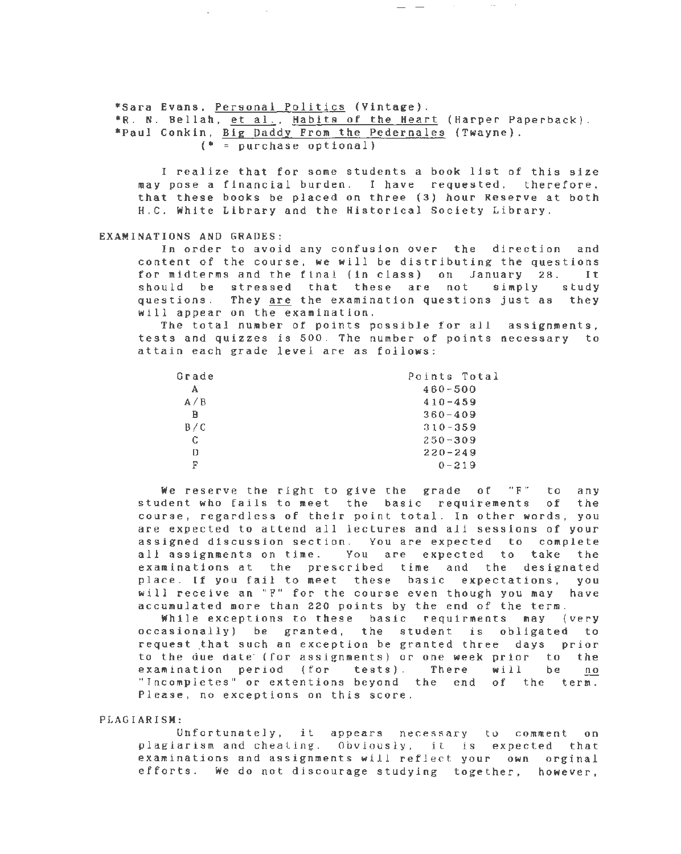\*Sara Evans, Personal Politics (Vintage).

 $\sim 10^{-1}$ 

\*R. N. Bellah, et al., Habits of the Heart (Harper Paperback) . \*Paul Conkin, Big Daddy From the Pedernales (Twayne).  $(*)$  = purchase optional)

I realize that for some students a book list of this size may pose a financial burden . I have requested, therefore, that these books be placed on three (3) hour Reserve at both H.C. White Library and the Historical Society Library.

 $\frac{1}{2} \frac{1}{2} \frac{1}{2} \frac{1}{2} \frac{1}{2} \frac{1}{2} \frac{1}{2} \frac{1}{2} \frac{1}{2} \frac{1}{2} \frac{1}{2} \frac{1}{2} \frac{1}{2} \frac{1}{2} \frac{1}{2} \frac{1}{2} \frac{1}{2} \frac{1}{2} \frac{1}{2} \frac{1}{2} \frac{1}{2} \frac{1}{2} \frac{1}{2} \frac{1}{2} \frac{1}{2} \frac{1}{2} \frac{1}{2} \frac{1}{2} \frac{1}{2} \frac{1}{2} \frac{1}{2} \frac{$ 

#### EXAMINATIONS AND GRADES:

In order to avoid any confusion over the direction and content of the course, we will be distributing the questions for midterms and the final (in class) on January 28. It<br>should be stressed that these are not simply study should be stressed that these are not questions. They are the examination questions just as they will appear on the examination.

The total number of points possible for all assignments, tests and quizzes is 500. The number of points necessary to attain each grade level are as follows :

| Grade | Points Total |
|-------|--------------|
| А     | $460 - 500$  |
| A/B   | $410 - 459$  |
| в     | $360 - 409$  |
| B/C   | $310 - 359$  |
| C.    | $250 - 309$  |
| D     | $220 - 249$  |
| F     | $0 - 219$    |

We reserve the right to give the grade of "F" to any student who fails to meet the basic requirements of the course, regardless of their point total. In other words, you are expected to attend all lectures and all sessions of your assigned discussion section. You are expected to complete all assignments on time. You are expected to take the examinations at the prescribed time and the designated place. If you fail to meet these basic expectations, you will receive an "F" for the course even though you may have accumulated more than 220 points by the end of the term.

While exceptions to these basic requirments may (very occasionally) be granted, the student is obligated to request .that such an exception be granted three days prior to the due date· (for assignments) or one week prior to the examination period (for tests). There will be no "Incompletes" or extentions beyond the end of the term. Please, no exceptions on this score.

#### PLAGIARISM:

Unfortunately, it appears necessary to comment on plagiarism and cheating. Obviously, it is expected that examinations and assignments will reflect your own orginal efforts. We do not discourage studying together, however,